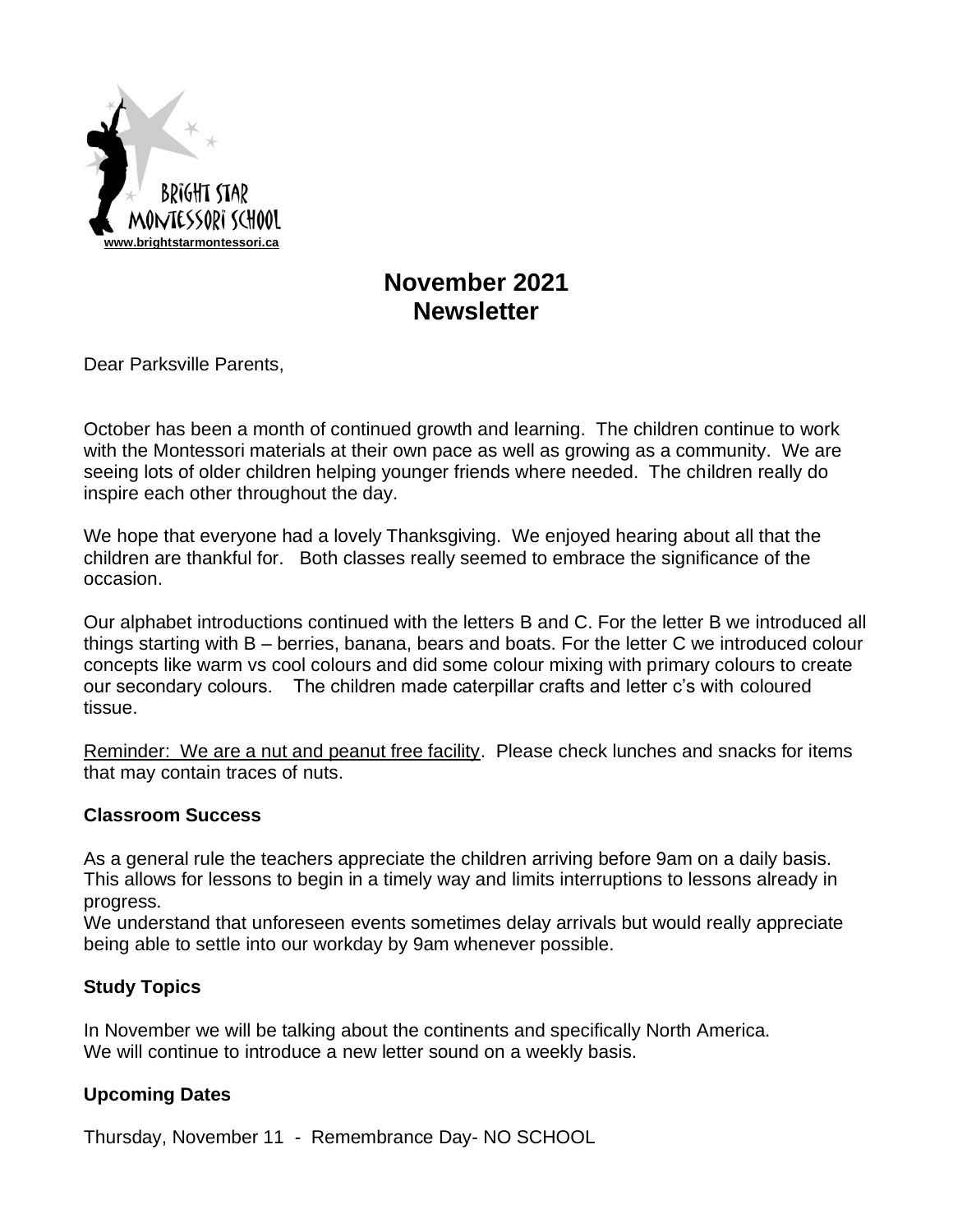

# **November 2021 Newsletter**

Dear Parksville Parents,

October has been a month of continued growth and learning. The children continue to work with the Montessori materials at their own pace as well as growing as a community. We are seeing lots of older children helping younger friends where needed. The children really do inspire each other throughout the day.

We hope that everyone had a lovely Thanksgiving. We enjoyed hearing about all that the children are thankful for. Both classes really seemed to embrace the significance of the occasion.

Our alphabet introductions continued with the letters B and C. For the letter B we introduced all things starting with B – berries, banana, bears and boats. For the letter C we introduced colour concepts like warm vs cool colours and did some colour mixing with primary colours to create our secondary colours. The children made caterpillar crafts and letter c's with coloured tissue.

Reminder: We are a nut and peanut free facility. Please check lunches and snacks for items that may contain traces of nuts.

### **Classroom Success**

As a general rule the teachers appreciate the children arriving before 9am on a daily basis. This allows for lessons to begin in a timely way and limits interruptions to lessons already in progress.

We understand that unforeseen events sometimes delay arrivals but would really appreciate being able to settle into our workday by 9am whenever possible.

## **Study Topics**

In November we will be talking about the continents and specifically North America. We will continue to introduce a new letter sound on a weekly basis.

## **Upcoming Dates**

Thursday, November 11 - Remembrance Day- NO SCHOOL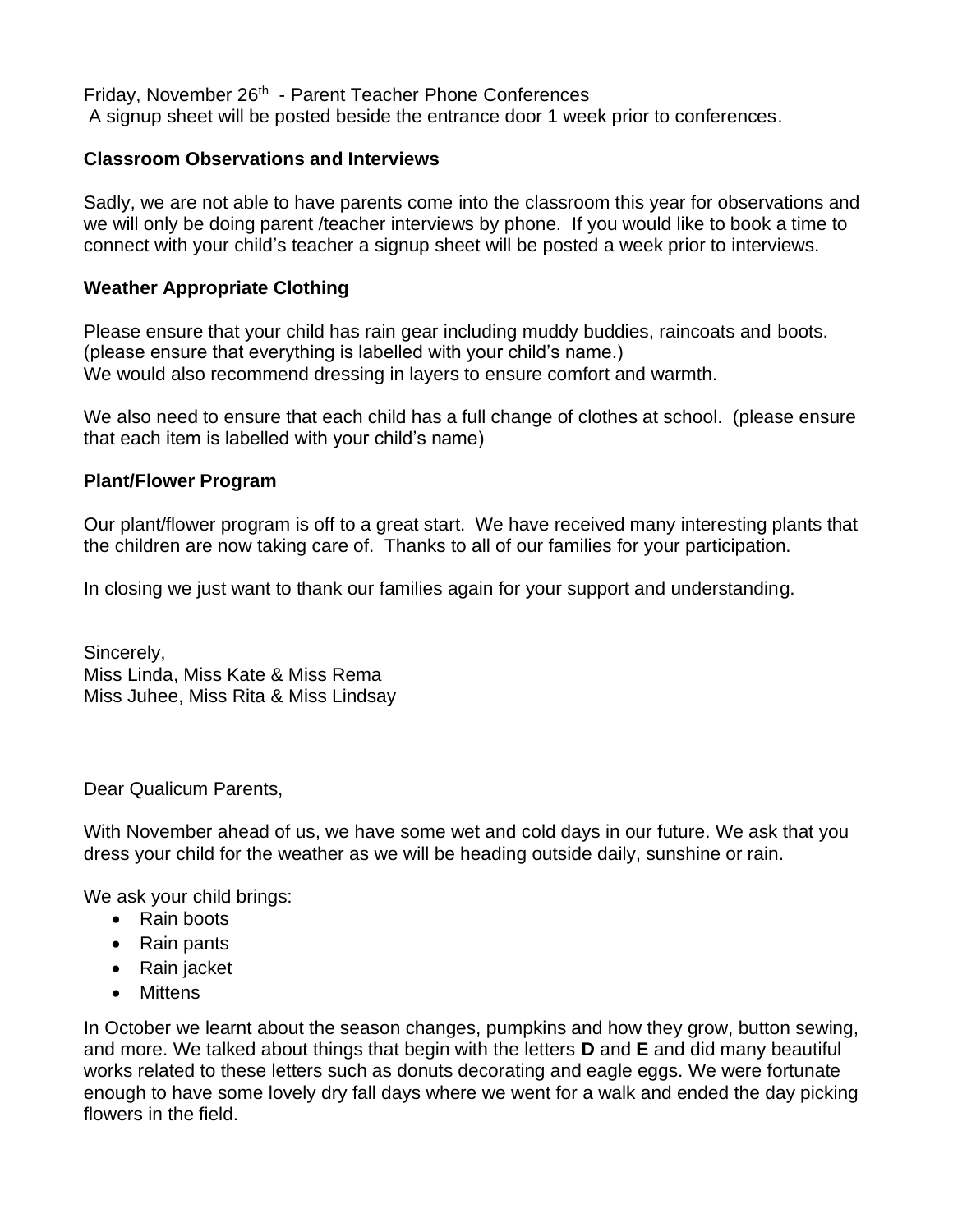Friday, November 26<sup>th</sup> - Parent Teacher Phone Conferences A signup sheet will be posted beside the entrance door 1 week prior to conferences.

### **Classroom Observations and Interviews**

Sadly, we are not able to have parents come into the classroom this year for observations and we will only be doing parent /teacher interviews by phone. If you would like to book a time to connect with your child's teacher a signup sheet will be posted a week prior to interviews.

## **Weather Appropriate Clothing**

Please ensure that your child has rain gear including muddy buddies, raincoats and boots. (please ensure that everything is labelled with your child's name.) We would also recommend dressing in layers to ensure comfort and warmth.

We also need to ensure that each child has a full change of clothes at school. (please ensure that each item is labelled with your child's name)

### **Plant/Flower Program**

Our plant/flower program is off to a great start. We have received many interesting plants that the children are now taking care of. Thanks to all of our families for your participation.

In closing we just want to thank our families again for your support and understanding.

Sincerely, Miss Linda, Miss Kate & Miss Rema Miss Juhee, Miss Rita & Miss Lindsay

Dear Qualicum Parents,

With November ahead of us, we have some wet and cold days in our future. We ask that you dress your child for the weather as we will be heading outside daily, sunshine or rain.

We ask your child brings:

- Rain boots
- Rain pants
- Rain jacket
- Mittens

In October we learnt about the season changes, pumpkins and how they grow, button sewing, and more. We talked about things that begin with the letters **D** and **E** and did many beautiful works related to these letters such as donuts decorating and eagle eggs. We were fortunate enough to have some lovely dry fall days where we went for a walk and ended the day picking flowers in the field.